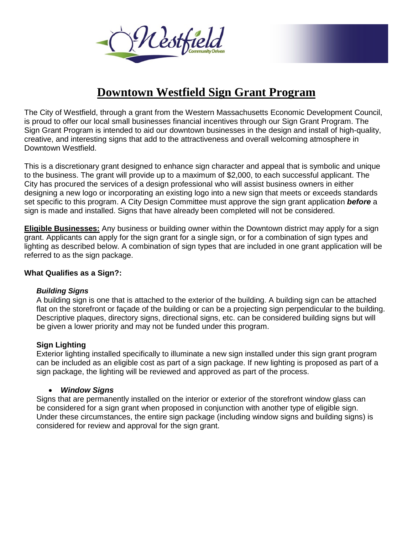

# **Downtown Westfield Sign Grant Program**

The City of Westfield, through a grant from the Western Massachusetts Economic Development Council, is proud to offer our local small businesses financial incentives through our Sign Grant Program. The Sign Grant Program is intended to aid our downtown businesses in the design and install of high-quality, creative, and interesting signs that add to the attractiveness and overall welcoming atmosphere in Downtown Westfield.

This is a discretionary grant designed to enhance sign character and appeal that is symbolic and unique to the business. The grant will provide up to a maximum of \$2,000, to each successful applicant. The City has procured the services of a design professional who will assist business owners in either designing a new logo or incorporating an existing logo into a new sign that meets or exceeds standards set specific to this program. A City Design Committee must approve the sign grant application *before* a sign is made and installed. Signs that have already been completed will not be considered.

**Eligible Businesses:** Any business or building owner within the Downtown district may apply for a sign grant. Applicants can apply for the sign grant for a single sign, or for a combination of sign types and lighting as described below. A combination of sign types that are included in one grant application will be referred to as the sign package.

### **What Qualifies as a Sign?:**

### *Building Signs*

A building sign is one that is attached to the exterior of the building. A building sign can be attached flat on the storefront or façade of the building or can be a projecting sign perpendicular to the building. Descriptive plaques, directory signs, directional signs, etc. can be considered building signs but will be given a lower priority and may not be funded under this program.

# **Sign Lighting**

Exterior lighting installed specifically to illuminate a new sign installed under this sign grant program can be included as an eligible cost as part of a sign package. If new lighting is proposed as part of a sign package, the lighting will be reviewed and approved as part of the process.

### *Window Signs*

Signs that are permanently installed on the interior or exterior of the storefront window glass can be considered for a sign grant when proposed in conjunction with another type of eligible sign. Under these circumstances, the entire sign package (including window signs and building signs) is considered for review and approval for the sign grant.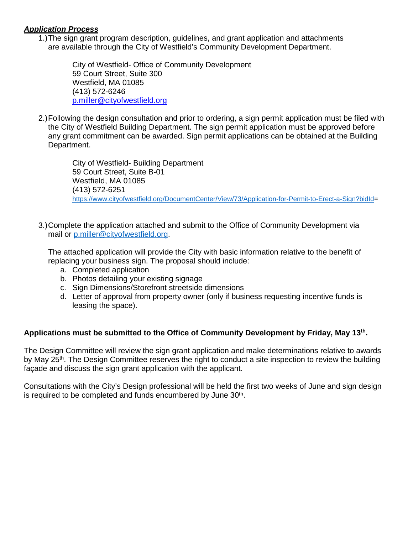### *Application Process*

1.) The sign grant program description, guidelines, and grant application and attachments are available through the City of Westfield's Community Development Department.

> City of Westfield- Office of Community Development 59 Court Street, Suite 300 Westfield, MA 01085 (413) 572-6246 p.miller@cityofwestfield.org

2.) Following the design consultation and prior to ordering, a sign permit application must be filed with the City of Westfield Building Department. The sign permit application must be approved before any grant commitment can be awarded. Sign permit applications can be obtained at the Building Department.

City of Westfield- Building Department 59 Court Street, Suite B-01 Westfield, MA 01085 (413) 572-6251 [https://www.cityofwestfield.org/DocumentCenter/View/73/Application-for-Permit-to-Erect-a-Sign?bidId=](https://www.cityofwestfield.org/DocumentCenter/View/73/Application-for-Permit-to-Erect-a-Sign?bidId)

3.) Complete the application attached and submit to the Office of Community Development via mail or [p.miller@cityofwestfield.org.](mailto:p.miller@cityofwestfield.org)

The attached application will provide the City with basic information relative to the benefit of replacing your business sign. The proposal should include:

- a. Completed application
- b. Photos detailing your existing signage
- c. Sign Dimensions/Storefront streetside dimensions
- d. Letter of approval from property owner (only if business requesting incentive funds is leasing the space).

# **Applications must be submitted to the Office of Community Development by Friday, May 13th .**

The Design Committee will review the sign grant application and make determinations relative to awards by May 25<sup>th</sup>. The Design Committee reserves the right to conduct a site inspection to review the building façade and discuss the sign grant application with the applicant.

Consultations with the City's Design professional will be held the first two weeks of June and sign design is required to be completed and funds encumbered by June 30<sup>th</sup>.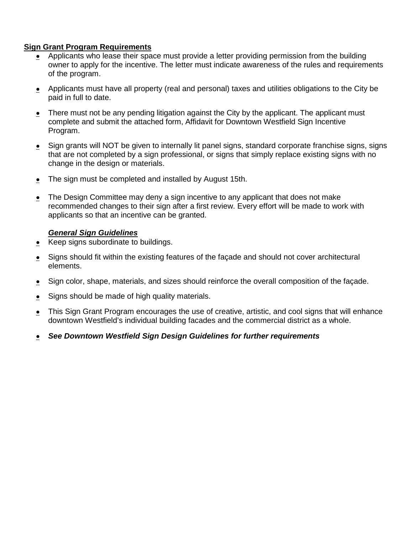# **Sign Grant Program Requirements**

- Applicants who lease their space must provide a letter providing permission from the building owner to apply for the incentive. The letter must indicate awareness of the rules and requirements of the program.
- Applicants must have all property (real and personal) taxes and utilities obligations to the City be paid in full to date.
- There must not be any pending litigation against the City by the applicant. The applicant must complete and submit the attached form, Affidavit for Downtown Westfield Sign Incentive Program.
- Sign grants will NOT be given to internally lit panel signs, standard corporate franchise signs, signs that are not completed by a sign professional, or signs that simply replace existing signs with no change in the design or materials.
- The sign must be completed and installed by August 15th.
- The Design Committee may deny a sign incentive to any applicant that does not make recommended changes to their sign after a first review. Every effort will be made to work with applicants so that an incentive can be granted.

# *General Sign Guidelines*

- Keep signs subordinate to buildings.
- Signs should fit within the existing features of the façade and should not cover architectural elements.
- Sign color, shape, materials, and sizes should reinforce the overall composition of the façade.
- $\bullet$  Signs should be made of high quality materials.
- This Sign Grant Program encourages the use of creative, artistic, and cool signs that will enhance downtown Westfield's individual building facades and the commercial district as a whole.
- *See Downtown Westfield Sign Design Guidelines for further requirements*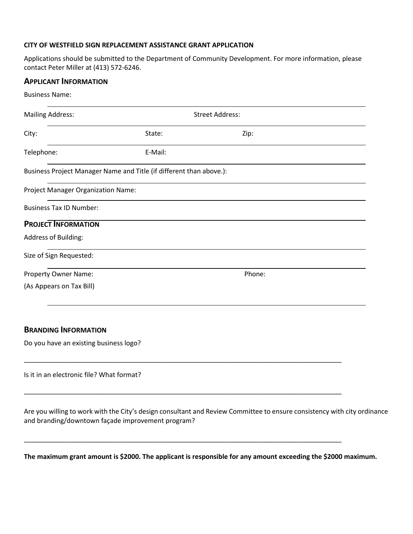#### **CITY OF WESTFIELD SIGN REPLACEMENT ASSISTANCE GRANT APPLICATION**

Applications should be submitted to the Department of Community Development. For more information, please contact Peter Miller at (413) 572-6246.

#### **APPLICANT INFORMATION**

Business Name:

| <b>Mailing Address:</b>                                             |         | <b>Street Address:</b> |  |
|---------------------------------------------------------------------|---------|------------------------|--|
| City:                                                               | State:  | Zip:                   |  |
| Telephone:                                                          | E-Mail: |                        |  |
| Business Project Manager Name and Title (if different than above.): |         |                        |  |
| <b>Project Manager Organization Name:</b>                           |         |                        |  |
| <b>Business Tax ID Number:</b>                                      |         |                        |  |
| <b>PROJECT INFORMATION</b>                                          |         |                        |  |
| Address of Building:                                                |         |                        |  |
| Size of Sign Requested:                                             |         |                        |  |
| Property Owner Name:                                                |         | Phone:                 |  |
| (As Appears on Tax Bill)                                            |         |                        |  |
|                                                                     |         |                        |  |
|                                                                     |         |                        |  |

#### **BRANDING INFORMATION**

Do you have an existing business logo?

Is it in an electronic file? What format?

Are you willing to work with the City's design consultant and Review Committee to ensure consistency with city ordinance and branding/downtown façade improvement program?

\_\_\_\_\_\_\_\_\_\_\_\_\_\_\_\_\_\_\_\_\_\_\_\_\_\_\_\_\_\_\_\_\_\_\_\_\_\_\_\_\_\_\_\_\_\_\_\_\_\_\_\_\_\_\_\_\_\_\_\_\_\_\_\_\_\_\_\_\_\_\_\_\_\_\_\_\_\_\_\_\_\_\_\_\_\_

\_\_\_\_\_\_\_\_\_\_\_\_\_\_\_\_\_\_\_\_\_\_\_\_\_\_\_\_\_\_\_\_\_\_\_\_\_\_\_\_\_\_\_\_\_\_\_\_\_\_\_\_\_\_\_\_\_\_\_\_\_\_\_\_\_\_\_\_\_\_\_\_\_\_\_\_\_\_\_\_\_\_\_\_\_\_

\_\_\_\_\_\_\_\_\_\_\_\_\_\_\_\_\_\_\_\_\_\_\_\_\_\_\_\_\_\_\_\_\_\_\_\_\_\_\_\_\_\_\_\_\_\_\_\_\_\_\_\_\_\_\_\_\_\_\_\_\_\_\_\_\_\_\_\_\_\_\_\_\_\_\_\_\_\_\_\_\_\_\_\_\_\_

**The maximum grant amount is \$2000. The applicant is responsible for any amount exceeding the \$2000 maximum.**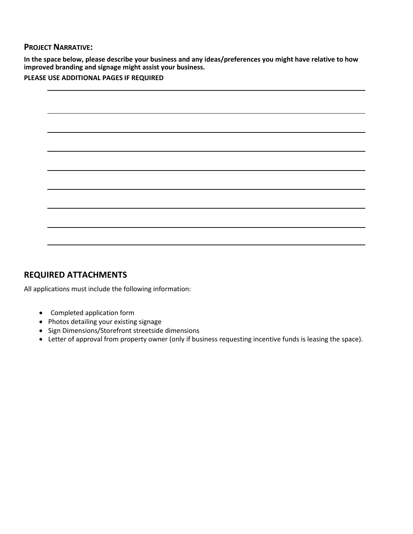### **PROJECT NARRATIVE:**

**In the space below, please describe your business and any ideas/preferences you might have relative to how improved branding and signage might assist your business.** 

### **PLEASE USE ADDITIONAL PAGES IF REQUIRED**

# **REQUIRED ATTACHMENTS**

All applications must include the following information:

- Completed application form
- Photos detailing your existing signage
- Sign Dimensions/Storefront streetside dimensions
- Letter of approval from property owner (only if business requesting incentive funds is leasing the space).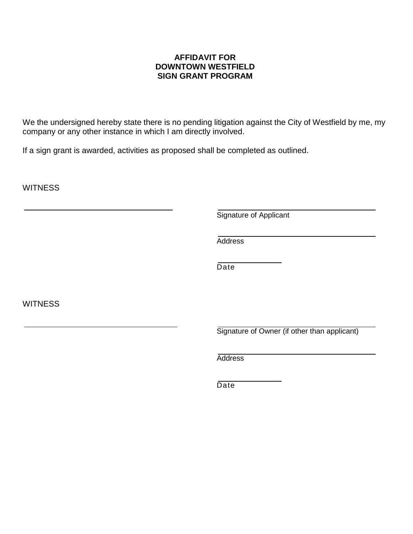# **AFFIDAVIT FOR DOWNTOWN WESTFIELD SIGN GRANT PROGRAM**

We the undersigned hereby state there is no pending litigation against the City of Westfield by me, my company or any other instance in which I am directly involved.

If a sign grant is awarded, activities as proposed shall be completed as outlined.

**WITNESS** 

Signature of Applicant

**Address** 

Date

**WITNESS** 

Signature of Owner (if other than applicant)

**Address** 

**Date**